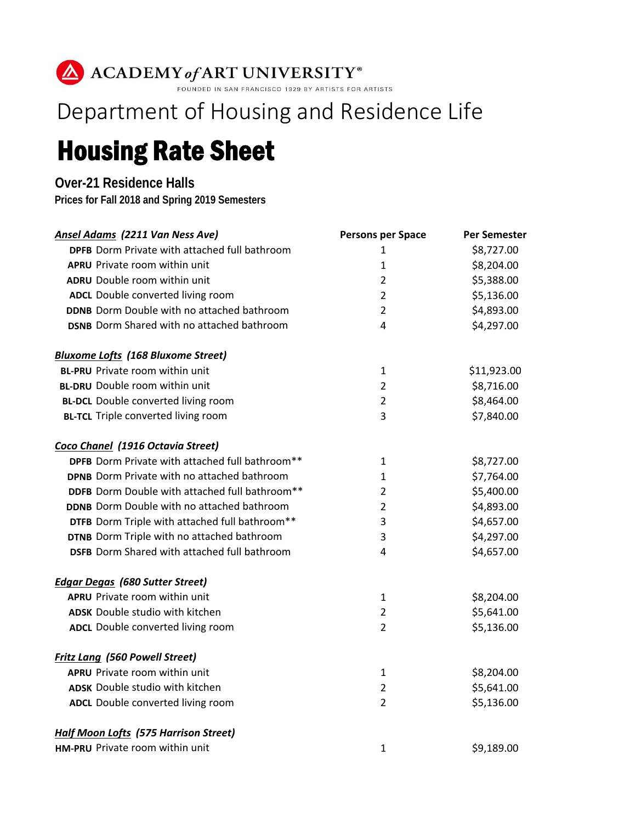## ACADEMY of ART UNIVERSITY®

## Department of Housing and Residence Life

## Housing Rate Sheet

## **Over-21 Residence Halls**

**Prices for Fall 2018 and Spring 2019 Semesters**

| <b>Ansel Adams (2211 Van Ness Ave)</b>               | <b>Persons per Space</b> | <b>Per Semester</b> |
|------------------------------------------------------|--------------------------|---------------------|
| <b>DPFB</b> Dorm Private with attached full bathroom | 1                        | \$8,727.00          |
| <b>APRU</b> Private room within unit                 | 1                        | \$8,204.00          |
| <b>ADRU</b> Double room within unit                  | $\overline{2}$           | \$5,388.00          |
| ADCL Double converted living room                    | $\overline{2}$           | \$5,136.00          |
| <b>DDNB</b> Dorm Double with no attached bathroom    | $\overline{2}$           | \$4,893.00          |
| <b>DSNB</b> Dorm Shared with no attached bathroom    | $\overline{4}$           | \$4,297.00          |
| <b>Bluxome Lofts (168 Bluxome Street)</b>            |                          |                     |
| <b>BL-PRU</b> Private room within unit               | 1                        | \$11,923.00         |
| <b>BL-DRU</b> Double room within unit                | $\overline{2}$           | \$8,716.00          |
| <b>BL-DCL</b> Double converted living room           | $\overline{2}$           | \$8,464.00          |
| <b>BL-TCL</b> Triple converted living room           | 3                        | \$7,840.00          |
| Coco Chanel (1916 Octavia Street)                    |                          |                     |
| DPFB Dorm Private with attached full bathroom**      | 1                        | \$8,727.00          |
| <b>DPNB</b> Dorm Private with no attached bathroom   | 1                        | \$7,764.00          |
| DDFB Dorm Double with attached full bathroom**       | $\overline{2}$           | \$5,400.00          |
| <b>DDNB</b> Dorm Double with no attached bathroom    | $\overline{2}$           | \$4,893.00          |
| DTFB Dorm Triple with attached full bathroom**       | 3                        | \$4,657.00          |
| DTNB Dorm Triple with no attached bathroom           | 3                        | \$4,297.00          |
| <b>DSFB</b> Dorm Shared with attached full bathroom  | $\overline{\mathbf{4}}$  | \$4,657.00          |
| <b>Edgar Degas (680 Sutter Street)</b>               |                          |                     |
| <b>APRU</b> Private room within unit                 | 1                        | \$8,204.00          |
| <b>ADSK</b> Double studio with kitchen               | $\overline{2}$           | \$5,641.00          |
| ADCL Double converted living room                    | $\overline{2}$           | \$5,136.00          |
| <b>Fritz Lang (560 Powell Street)</b>                |                          |                     |
| <b>APRU</b> Private room within unit                 | 1                        | \$8,204.00          |
| <b>ADSK</b> Double studio with kitchen               | $\overline{2}$           | \$5,641.00          |
| ADCL Double converted living room                    | $\overline{2}$           | \$5,136.00          |
| <b>Half Moon Lofts (575 Harrison Street)</b>         |                          |                     |
| HM-PRU Private room within unit                      | $\mathbf{1}$             | \$9,189.00          |